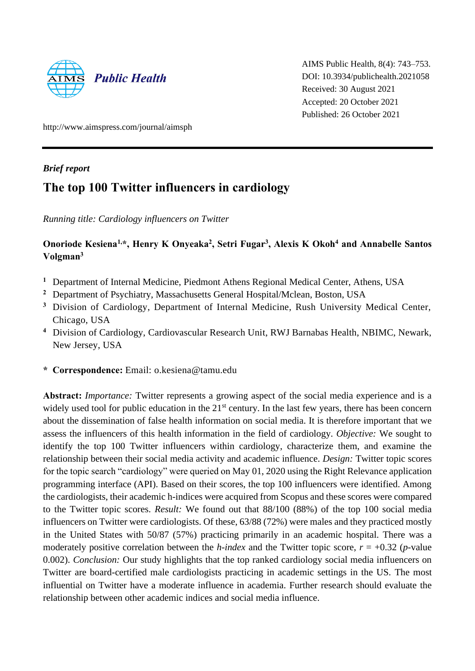

AIMS Public Health, 8(4): 743–753. DOI: 10.3934/publichealth.2021058 Received: 30 August 2021 Accepted: 20 October 2021 Published: 26 October 2021

http://www.aimspress.com/journal/aimsph

### *Brief report*

# **The top 100 Twitter influencers in cardiology**

*Running title: Cardiology influencers on Twitter*

## **Onoriode Kesiena1,\*, Henry K Onyeaka<sup>2</sup> , Setri Fugar<sup>3</sup> , Alexis K Okoh<sup>4</sup> and Annabelle Santos Volgman<sup>3</sup>**

- **<sup>1</sup>** Department of Internal Medicine, Piedmont Athens Regional Medical Center, Athens, USA
- **<sup>2</sup>** Department of Psychiatry, Massachusetts General Hospital/Mclean, Boston, USA
- **<sup>3</sup>** Division of Cardiology, Department of Internal Medicine, Rush University Medical Center, Chicago, USA
- **<sup>4</sup>** Division of Cardiology, Cardiovascular Research Unit, RWJ Barnabas Health, NBIMC, Newark, New Jersey, USA
- **\* Correspondence:** Email: o.kesiena@tamu.edu

**Abstract:** *Importance:* Twitter represents a growing aspect of the social media experience and is a widely used tool for public education in the 21<sup>st</sup> century. In the last few years, there has been concern about the dissemination of false health information on social media. It is therefore important that we assess the influencers of this health information in the field of cardiology. *Objective:* We sought to identify the top 100 Twitter influencers within cardiology, characterize them, and examine the relationship between their social media activity and academic influence. *Design:* Twitter topic scores for the topic search "cardiology" were queried on May 01, 2020 using the Right Relevance application programming interface (API). Based on their scores, the top 100 influencers were identified. Among the cardiologists, their academic h-indices were acquired from Scopus and these scores were compared to the Twitter topic scores. *Result:* We found out that 88/100 (88%) of the top 100 social media influencers on Twitter were cardiologists. Of these, 63/88 (72%) were males and they practiced mostly in the United States with 50/87 (57%) practicing primarily in an academic hospital. There was a moderately positive correlation between the *h*-index and the Twitter topic score,  $r = +0.32$  (*p*-value 0.002). *Conclusion:* Our study highlights that the top ranked cardiology social media influencers on Twitter are board-certified male cardiologists practicing in academic settings in the US. The most influential on Twitter have a moderate influence in academia. Further research should evaluate the relationship between other academic indices and social media influence.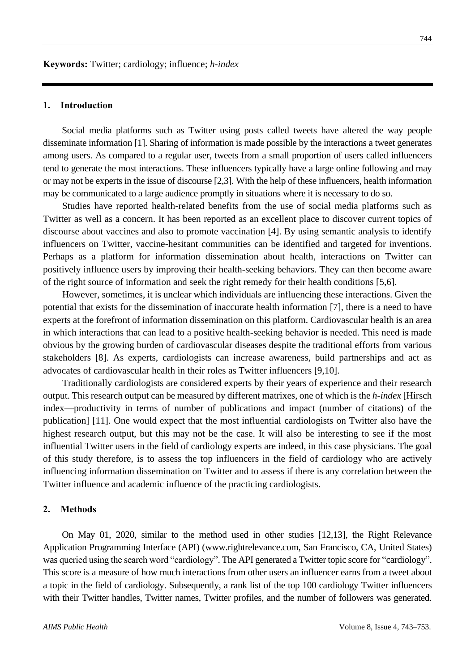#### **1. Introduction**

Social media platforms such as Twitter using posts called tweets have altered the way people disseminate information [1]. Sharing of information is made possible by the interactions a tweet generates among users. As compared to a regular user, tweets from a small proportion of users called influencers tend to generate the most interactions. These influencers typically have a large online following and may or may not be experts in the issue of discourse [2,3]. With the help of these influencers, health information may be communicated to a large audience promptly in situations where it is necessary to do so.

Studies have reported health-related benefits from the use of social media platforms such as Twitter as well as a concern. It has been reported as an excellent place to discover current topics of discourse about vaccines and also to promote vaccination [4]. By using semantic analysis to identify influencers on Twitter, vaccine-hesitant communities can be identified and targeted for inventions. Perhaps as a platform for information dissemination about health, interactions on Twitter can positively influence users by improving their health-seeking behaviors. They can then become aware of the right source of information and seek the right remedy for their health conditions [5,6].

However, sometimes, it is unclear which individuals are influencing these interactions. Given the potential that exists for the dissemination of inaccurate health information [7], there is a need to have experts at the forefront of information dissemination on this platform. Cardiovascular health is an area in which interactions that can lead to a positive health-seeking behavior is needed. This need is made obvious by the growing burden of cardiovascular diseases despite the traditional efforts from various stakeholders [8]. As experts, cardiologists can increase awareness, build partnerships and act as advocates of cardiovascular health in their roles as Twitter influencers [9,10].

Traditionally cardiologists are considered experts by their years of experience and their research output. This research output can be measured by different matrixes, one of which is the *h-index* [Hirsch index—productivity in terms of number of publications and impact (number of citations) of the publication] [11]. One would expect that the most influential cardiologists on Twitter also have the highest research output, but this may not be the case. It will also be interesting to see if the most influential Twitter users in the field of cardiology experts are indeed, in this case physicians. The goal of this study therefore, is to assess the top influencers in the field of cardiology who are actively influencing information dissemination on Twitter and to assess if there is any correlation between the Twitter influence and academic influence of the practicing cardiologists.

#### **2. Methods**

On May 01, 2020, similar to the method used in other studies [12,13], the Right Relevance Application Programming Interface (API) [\(www.rightrelevance.com,](http://www.rightrelevance.com/) San Francisco, CA, United States) was queried using the search word "cardiology". The API generated a Twitter topic score for "cardiology". This score is a measure of how much interactions from other users an influencer earns from a tweet about a topic in the field of cardiology. Subsequently, a rank list of the top 100 cardiology Twitter influencers with their Twitter handles, Twitter names, Twitter profiles, and the number of followers was generated.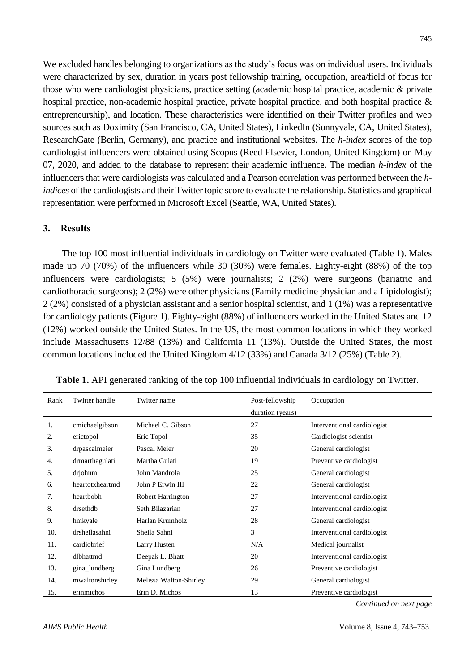We excluded handles belonging to organizations as the study's focus was on individual users. Individuals were characterized by sex, duration in years post fellowship training, occupation, area/field of focus for those who were cardiologist physicians, practice setting (academic hospital practice, academic & private hospital practice, non-academic hospital practice, private hospital practice, and both hospital practice & entrepreneurship), and location. These characteristics were identified on their Twitter profiles and web sources such as Doximity (San Francisco, CA, United States), LinkedIn (Sunnyvale, CA, United States), ResearchGate (Berlin, Germany), and practice and institutional websites. The *h-index* scores of the top cardiologist influencers were obtained using Scopus (Reed Elsevier, London, United Kingdom) on May 07, 2020, and added to the database to represent their academic influence. The median *h-index* of the influencers that were cardiologists was calculated and a Pearson correlation was performed between the *hindices* of the cardiologists and their Twitter topic score to evaluate the relationship. Statistics and graphical representation were performed in Microsoft Excel (Seattle, WA, United States).

#### **3. Results**

The top 100 most influential individuals in cardiology on Twitter were evaluated (Table 1). Males made up 70 (70%) of the influencers while 30 (30%) were females. Eighty-eight (88%) of the top influencers were cardiologists; 5 (5%) were journalists; 2 (2%) were surgeons (bariatric and cardiothoracic surgeons); 2 (2%) were other physicians (Family medicine physician and a Lipidologist); 2 (2%) consisted of a physician assistant and a senior hospital scientist, and 1 (1%) was a representative for cardiology patients (Figure 1). Eighty-eight (88%) of influencers worked in the United States and 12 (12%) worked outside the United States. In the US, the most common locations in which they worked include Massachusetts 12/88 (13%) and California 11 (13%). Outside the United States, the most common locations included the United Kingdom 4/12 (33%) and Canada 3/12 (25%) (Table 2).

| Rank | Twitter handle  | Twitter name             | Post-fellowship  | Occupation                  |
|------|-----------------|--------------------------|------------------|-----------------------------|
|      |                 |                          | duration (years) |                             |
| 1.   | cmichaelgibson  | Michael C. Gibson        | 27               | Interventional cardiologist |
| 2.   | erictopol       | Eric Topol               | 35               | Cardiologist-scientist      |
| 3.   | drpascalmeier   | Pascal Meier             | 20               | General cardiologist        |
| 4.   | drmarthagulati  | Martha Gulati            | 19               | Preventive cardiologist     |
| 5.   | drjohnm         | John Mandrola            | 25               | General cardiologist        |
| 6.   | heartotxheartmd | John P Erwin III         | 22               | General cardiologist        |
| 7.   | heartbobh       | <b>Robert Harrington</b> | 27               | Interventional cardiologist |
| 8.   | drsethdb        | Seth Bilazarian          | 27               | Interventional cardiologist |
| 9.   | hmkyale         | Harlan Krumholz          | 28               | General cardiologist        |
| 10.  | drsheilasahni   | Sheila Sahni             | 3                | Interventional cardiologist |
| 11.  | cardiobrief     | Larry Husten             | N/A              | Medical journalist          |
| 12.  | dlbhattmd       | Deepak L. Bhatt          | 20               | Interventional cardiologist |
| 13.  | gina_lundberg   | Gina Lundberg            | 26               | Preventive cardiologist     |
| 14.  | mwaltonshirley  | Melissa Walton-Shirley   | 29               | General cardiologist        |
| 15.  | erinmichos      | Erin D. Michos           | 13               | Preventive cardiologist     |

**Table 1.** API generated ranking of the top 100 influential individuals in cardiology on Twitter.

*Continued on next page*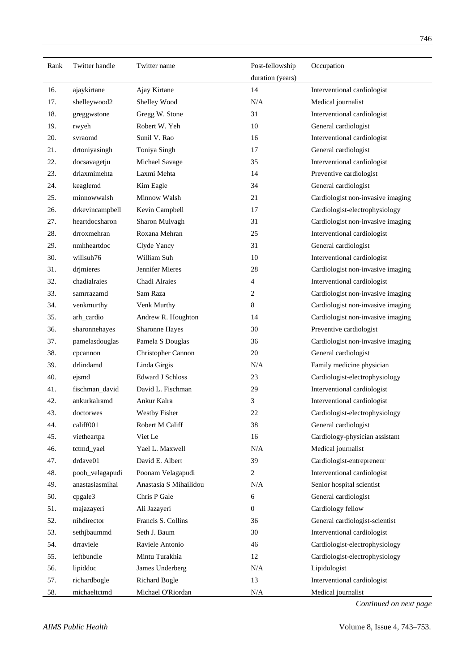| Rank | Twitter handle  | Twitter name            | Post-fellowship  | Occupation                        |
|------|-----------------|-------------------------|------------------|-----------------------------------|
|      |                 |                         | duration (years) |                                   |
| 16.  | ajaykirtane     | Ajay Kirtane            | 14               | Interventional cardiologist       |
| 17.  | shelleywood2    | Shelley Wood            | N/A              | Medical journalist                |
| 18.  | greggwstone     | Gregg W. Stone          | 31               | Interventional cardiologist       |
| 19.  | rwyeh           | Robert W. Yeh           | 10               | General cardiologist              |
| 20.  | svraomd         | Sunil V. Rao            | 16               | Interventional cardiologist       |
| 21.  | drtoniyasingh   | Toniya Singh            | 17               | General cardiologist              |
| 22.  | docsavagetju    | Michael Savage          | 35               | Interventional cardiologist       |
| 23.  | drlaxmimehta    | Laxmi Mehta             | 14               | Preventive cardiologist           |
| 24.  | keaglemd        | Kim Eagle               | 34               | General cardiologist              |
| 25.  | minnowwalsh     | Minnow Walsh            | 21               | Cardiologist non-invasive imaging |
| 26.  | drkevincampbell | Kevin Campbell          | 17               | Cardiologist-electrophysiology    |
| 27.  | heartdocsharon  | Sharon Mulvagh          | 31               | Cardiologist non-invasive imaging |
| 28.  | drroxmehran     | Roxana Mehran           | 25               | Interventional cardiologist       |
| 29.  | nmhheartdoc     | Clyde Yancy             | 31               | General cardiologist              |
| 30.  | willsuh76       | William Suh             | 10               | Interventional cardiologist       |
| 31.  | drimieres       | Jennifer Mieres         | 28               | Cardiologist non-invasive imaging |
| 32.  | chadialraies    | Chadi Alraies           | 4                | Interventional cardiologist       |
| 33.  | samrrazamd      | Sam Raza                | 2                | Cardiologist non-invasive imaging |
| 34.  | venkmurthy      | Venk Murthy             | 8                | Cardiologist non-invasive imaging |
| 35.  | arh_cardio      | Andrew R. Houghton      | 14               | Cardiologist non-invasive imaging |
| 36.  | sharonnehayes   | Sharonne Hayes          | 30               | Preventive cardiologist           |
| 37.  | pamelasdouglas  | Pamela S Douglas        | 36               | Cardiologist non-invasive imaging |
| 38.  | cpcannon        | Christopher Cannon      | 20               | General cardiologist              |
| 39.  | drlindamd       | Linda Girgis            | N/A              | Family medicine physician         |
| 40.  | ejsmd           | <b>Edward J Schloss</b> | 23               | Cardiologist-electrophysiology    |
| 41.  | fischman_david  | David L. Fischman       | 29               | Interventional cardiologist       |
| 42.  | ankurkalramd    | Ankur Kalra             | 3                | Interventional cardiologist       |
| 43.  | doctorwes       | Westby Fisher           | 22               | Cardiologist-electrophysiology    |
| 44.  | califf001       | Robert M Califf         | 38               | General cardiologist              |
| 45.  | vietheartpa     | Viet Le                 | 16               | Cardiology-physician assistant    |
| 46.  | tctmd_yael      | Yael L. Maxwell         | N/A              | Medical journalist                |
| 47.  | drdave01        | David E. Albert         | 39               | Cardiologist-entrepreneur         |
| 48.  | pooh_velagapudi | Poonam Velagapudi       | $\boldsymbol{2}$ | Interventional cardiologist       |
| 49.  | anastasiasmihai | Anastasia S Mihailidou  | N/A              | Senior hospital scientist         |
| 50.  | cpgale3         | Chris P Gale            | 6                | General cardiologist              |
| 51.  | majazayeri      | Ali Jazayeri            | $\boldsymbol{0}$ | Cardiology fellow                 |
| 52.  | nihdirector     | Francis S. Collins      | 36               | General cardiologist-scientist    |
| 53.  | sethjbaummd     | Seth J. Baum            | 30               | Interventional cardiologist       |
| 54.  | drraviele       | Raviele Antonio         | 46               | Cardiologist-electrophysiology    |
| 55.  | leftbundle      | Mintu Turakhia          | 12               | Cardiologist-electrophysiology    |
| 56.  | lipiddoc        | James Underberg         | N/A              | Lipidologist                      |
| 57.  | richardbogle    | <b>Richard Bogle</b>    | 13               | Interventional cardiologist       |
| 58.  | michaeltctmd    | Michael O'Riordan       | $\rm N/A$        | Medical journalist                |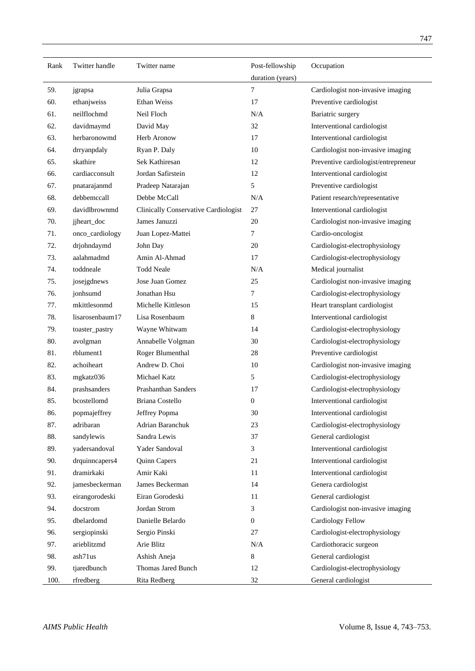| Rank | Twitter handle  | Twitter name                                | Post-fellowship  | Occupation                           |  |
|------|-----------------|---------------------------------------------|------------------|--------------------------------------|--|
|      |                 |                                             | duration (years) |                                      |  |
| 59.  | jgrapsa         | Julia Grapsa                                | 7                | Cardiologist non-invasive imaging    |  |
| 60.  | ethanjweiss     | Ethan Weiss                                 | 17               | Preventive cardiologist              |  |
| 61.  | neilflochmd     | Neil Floch                                  | N/A              | Bariatric surgery                    |  |
| 62.  | davidmaymd      | David May                                   | 32               | Interventional cardiologist          |  |
| 63.  | herbaronowmd    | Herb Aronow                                 | 17               | Interventional cardiologist          |  |
| 64.  | drryanpdaly     | Ryan P. Daly                                | 10               | Cardiologist non-invasive imaging    |  |
| 65.  | skathire        | Sek Kathiresan                              | 12               | Preventive cardiologist/entrepreneur |  |
| 66.  | cardiacconsult  | Jordan Safirstein                           | 12               | Interventional cardiologist          |  |
| 67.  | pnatarajanmd    | Pradeep Natarajan                           | 5                | Preventive cardiologist              |  |
| 68.  | debbemccall     | Debbe McCall                                | N/A              | Patient research/representative      |  |
| 69.  | davidlbrownmd   | <b>Clinically Conservative Cardiologist</b> | 27               | Interventional cardiologist          |  |
| 70.  | jjheart_doc     | James Januzzi                               | 20               | Cardiologist non-invasive imaging    |  |
| 71.  | onco_cardiology | Juan Lopez-Mattei                           | $\tau$           | Cardio-oncologist                    |  |
| 72.  | drjohndaymd     | John Day                                    | 20               | Cardiologist-electrophysiology       |  |
| 73.  | aalahmadmd      | Amin Al-Ahmad                               | 17               | Cardiologist-electrophysiology       |  |
| 74.  | toddneale       | <b>Todd Neale</b>                           | N/A              | Medical journalist                   |  |
| 75.  | josejgdnews     | Jose Juan Gomez                             | 25               | Cardiologist non-invasive imaging    |  |
| 76.  | jonhsumd        | Jonathan Hsu                                | $\tau$           | Cardiologist-electrophysiology       |  |
| 77.  | mkittlesonmd    | Michelle Kittleson                          | 15               | Heart transplant cardiologist        |  |
| 78.  | lisarosenbaum17 | Lisa Rosenbaum                              | 8                | Interventional cardiologist          |  |
| 79.  | toaster_pastry  | Wayne Whitwam                               | 14               | Cardiologist-electrophysiology       |  |
| 80.  | avolgman        | Annabelle Volgman                           | 30               | Cardiologist-electrophysiology       |  |
| 81.  | rblument1       | Roger Blumenthal                            | 28               | Preventive cardiologist              |  |
| 82.  | achoiheart      | Andrew D. Choi                              | 10               | Cardiologist non-invasive imaging    |  |
| 83.  | mgkatz036       | Michael Katz                                | 5                | Cardiologist-electrophysiology       |  |
| 84.  | prashsanders    | Prashanthan Sanders                         | 17               | Cardiologist-electrophysiology       |  |
| 85.  | bcostellomd     | Briana Costello                             | $\boldsymbol{0}$ | Interventional cardiologist          |  |
| 86.  | popmajeffrey    | Jeffrey Popma                               | 30               | Interventional cardiologist          |  |
| 87.  | adribaran       | Adrian Baranchuk                            | 23               | Cardiologist-electrophysiology       |  |
| 88.  | sandylewis      | Sandra Lewis                                | 37               | General cardiologist                 |  |
| 89.  | yadersandoval   | Yader Sandoval                              | 3                | Interventional cardiologist          |  |
| 90.  | drquinncapers4  | Quinn Capers                                | 21               | Interventional cardiologist          |  |
| 91.  | dramirkaki      | Amir Kaki                                   | 11               | Interventional cardiologist          |  |
| 92.  | jamesbeckerman  | James Beckerman                             | 14               | Genera cardiologist                  |  |
| 93.  | eirangorodeski  | Eiran Gorodeski                             | 11               | General cardiologist                 |  |
| 94.  | docstrom        | Jordan Strom                                | 3                | Cardiologist non-invasive imaging    |  |
| 95.  | dbelardomd      | Danielle Belardo                            | $\boldsymbol{0}$ | <b>Cardiology Fellow</b>             |  |
| 96.  | sergiopinski    | Sergio Pinski                               | 27               | Cardiologist-electrophysiology       |  |
| 97.  | arieblitzmd     | Arie Blitz                                  | N/A              | Cardiothoracic surgeon               |  |
| 98.  | ash71us         | Ashish Aneja                                | $\,8\,$          | General cardiologist                 |  |
| 99.  | tjaredbunch     | Thomas Jared Bunch                          | 12               | Cardiologist-electrophysiology       |  |
| 100. | rfredberg       | Rita Redberg                                | 32               | General cardiologist                 |  |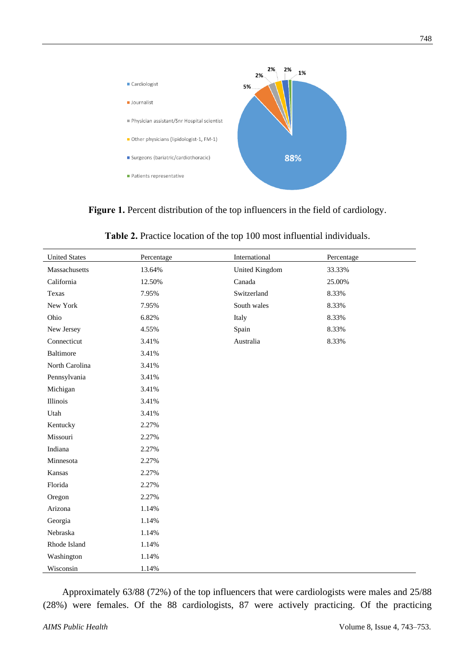

**Figure 1.** Percent distribution of the top influencers in the field of cardiology.

| Table 2. Practice location of the top 100 most influential individuals. |
|-------------------------------------------------------------------------|
|                                                                         |

| <b>United States</b> | Percentage | International  | Percentage |
|----------------------|------------|----------------|------------|
| Massachusetts        | 13.64%     | United Kingdom | 33.33%     |
| California           | 12.50%     | Canada         | 25.00%     |
| Texas                | 7.95%      | Switzerland    | 8.33%      |
| New York             | 7.95%      | South wales    | 8.33%      |
| Ohio                 | 6.82%      | Italy          | 8.33%      |
| New Jersey           | 4.55%      | Spain          | 8.33%      |
| Connecticut          | 3.41%      | Australia      | 8.33%      |
| <b>Baltimore</b>     | 3.41%      |                |            |
| North Carolina       | 3.41%      |                |            |
| Pennsylvania         | 3.41%      |                |            |
| Michigan             | 3.41%      |                |            |
| Illinois             | 3.41%      |                |            |
| Utah                 | 3.41%      |                |            |
| Kentucky             | 2.27%      |                |            |
| Missouri             | 2.27%      |                |            |
| Indiana              | 2.27%      |                |            |
| Minnesota            | 2.27%      |                |            |
| Kansas               | 2.27%      |                |            |
| Florida              | 2.27%      |                |            |
| Oregon               | 2.27%      |                |            |
| Arizona              | 1.14%      |                |            |
| Georgia              | 1.14%      |                |            |
| Nebraska             | 1.14%      |                |            |
| Rhode Island         | 1.14%      |                |            |
| Washington           | 1.14%      |                |            |
| Wisconsin            | 1.14%      |                |            |

Approximately 63/88 (72%) of the top influencers that were cardiologists were males and 25/88 (28%) were females. Of the 88 cardiologists, 87 were actively practicing. Of the practicing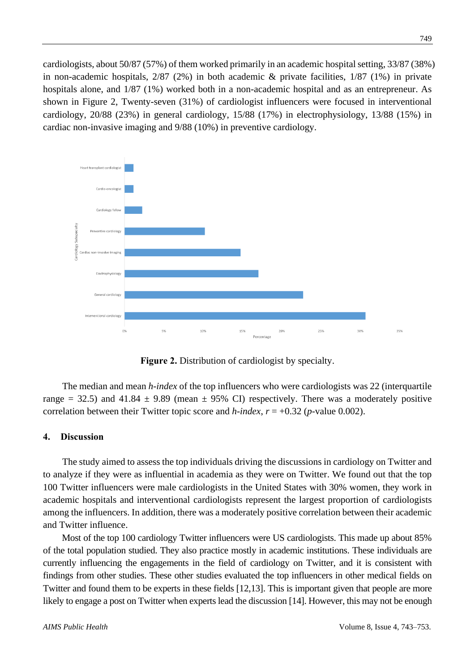cardiologists, about 50/87 (57%) of them worked primarily in an academic hospital setting, 33/87 (38%) in non-academic hospitals,  $2/87$  ( $2\%$ ) in both academic & private facilities,  $1/87$  ( $1\%$ ) in private hospitals alone, and 1/87 (1%) worked both in a non-academic hospital and as an entrepreneur. As shown in Figure 2, Twenty-seven (31%) of cardiologist influencers were focused in interventional cardiology, 20/88 (23%) in general cardiology, 15/88 (17%) in electrophysiology, 13/88 (15%) in cardiac non-invasive imaging and 9/88 (10%) in preventive cardiology.



**Figure 2.** Distribution of cardiologist by specialty.

The median and mean *h-index* of the top influencers who were cardiologists was 22 (interquartile range = 32.5) and 41.84  $\pm$  9.89 (mean  $\pm$  95% CI) respectively. There was a moderately positive correlation between their Twitter topic score and *h*-index,  $r = +0.32$  (*p*-value 0.002).

#### **4. Discussion**

The study aimed to assess the top individuals driving the discussions in cardiology on Twitter and to analyze if they were as influential in academia as they were on Twitter. We found out that the top 100 Twitter influencers were male cardiologists in the United States with 30% women, they work in academic hospitals and interventional cardiologists represent the largest proportion of cardiologists among the influencers. In addition, there was a moderately positive correlation between their academic and Twitter influence.

Most of the top 100 cardiology Twitter influencers were US cardiologists. This made up about 85% of the total population studied. They also practice mostly in academic institutions. These individuals are currently influencing the engagements in the field of cardiology on Twitter, and it is consistent with findings from other studies. These other studies evaluated the top influencers in other medical fields on Twitter and found them to be experts in these fields [12,13]. This is important given that people are more likely to engage a post on Twitter when experts lead the discussion [14]. However, this may not be enough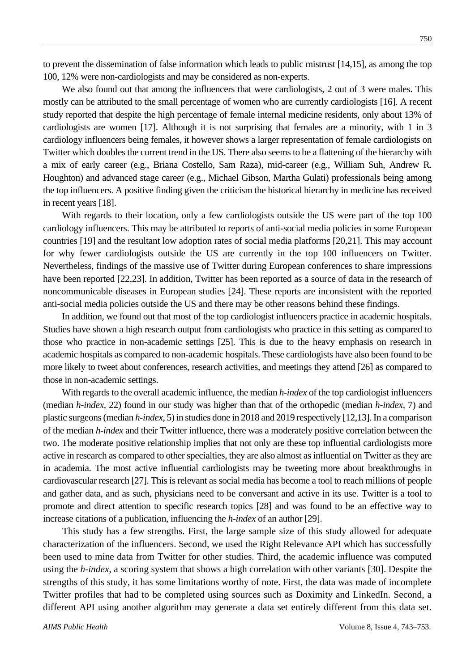to prevent the dissemination of false information which leads to public mistrust [14,15], as among the top 100, 12% were non-cardiologists and may be considered as non-experts.

We also found out that among the influencers that were cardiologists, 2 out of 3 were males. This mostly can be attributed to the small percentage of women who are currently cardiologists [16]. A recent study reported that despite the high percentage of female internal medicine residents, only about 13% of cardiologists are women [17]. Although it is not surprising that females are a minority, with 1 in 3 cardiology influencers being females, it however shows a larger representation of female cardiologists on Twitter which doubles the current trend in the US. There also seems to be a flattening of the hierarchy with a mix of early career (e.g., Briana Costello, Sam Raza), mid-career (e.g., William Suh, Andrew R. Houghton) and advanced stage career (e.g., Michael Gibson, Martha Gulati) professionals being among the top influencers. A positive finding given the criticism the historical hierarchy in medicine has received in recent years [18].

With regards to their location, only a few cardiologists outside the US were part of the top 100 cardiology influencers. This may be attributed to reports of anti-social media policies in some European countries [19] and the resultant low adoption rates of social media platforms [20,21]. This may account for why fewer cardiologists outside the US are currently in the top 100 influencers on Twitter. Nevertheless, findings of the massive use of Twitter during European conferences to share impressions have been reported [22,23]. In addition, Twitter has been reported as a source of data in the research of noncommunicable diseases in European studies [24]. These reports are inconsistent with the reported anti-social media policies outside the US and there may be other reasons behind these findings.

In addition, we found out that most of the top cardiologist influencers practice in academic hospitals. Studies have shown a high research output from cardiologists who practice in this setting as compared to those who practice in non-academic settings [25]. This is due to the heavy emphasis on research in academic hospitals as compared to non-academic hospitals. These cardiologists have also been found to be more likely to tweet about conferences, research activities, and meetings they attend [26] as compared to those in non-academic settings.

With regards to the overall academic influence, the median *h-index* of the top cardiologist influencers (median *h-index,* 22) found in our study was higher than that of the orthopedic (median *h-index,* 7) and plastic surgeons(median *h-index*, 5) in studies done in 2018 and 2019 respectively [12,13]. In a comparison of the median *h-index* and their Twitter influence, there was a moderately positive correlation between the two. The moderate positive relationship implies that not only are these top influential cardiologists more active in research as compared to other specialties, they are also almost as influential on Twitter as they are in academia. The most active influential cardiologists may be tweeting more about breakthroughs in cardiovascular research [27]. This is relevant as social media has become a tool to reach millions of people and gather data, and as such, physicians need to be conversant and active in its use. Twitter is a tool to promote and direct attention to specific research topics [28] and was found to be an effective way to increase citations of a publication, influencing the *h-index* of an author [29].

This study has a few strengths. First, the large sample size of this study allowed for adequate characterization of the influencers. Second, we used the Right Relevance API which has successfully been used to mine data from Twitter for other studies. Third, the academic influence was computed using the *h-index*, a scoring system that shows a high correlation with other variants [30]. Despite the strengths of this study, it has some limitations worthy of note. First, the data was made of incomplete Twitter profiles that had to be completed using sources such as Doximity and LinkedIn. Second, a different API using another algorithm may generate a data set entirely different from this data set.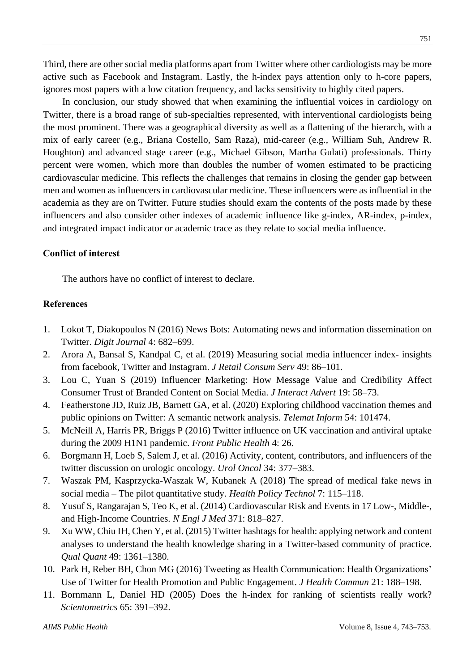Third, there are other social media platforms apart from Twitter where other cardiologists may be more active such as Facebook and Instagram. Lastly, the h-index pays attention only to h-core papers, ignores most papers with a low citation frequency, and lacks sensitivity to highly cited papers.

In conclusion, our study showed that when examining the influential voices in cardiology on Twitter, there is a broad range of sub-specialties represented, with interventional cardiologists being the most prominent. There was a geographical diversity as well as a flattening of the hierarch, with a mix of early career (e.g., Briana Costello, Sam Raza), mid-career (e.g., William Suh, Andrew R. Houghton) and advanced stage career (e.g., Michael Gibson, Martha Gulati) professionals. Thirty percent were women, which more than doubles the number of women estimated to be practicing cardiovascular medicine. This reflects the challenges that remains in closing the gender gap between men and women as influencers in cardiovascular medicine. These influencers were as influential in the academia as they are on Twitter. Future studies should exam the contents of the posts made by these influencers and also consider other indexes of academic influence like g-index, AR-index, p-index, and integrated impact indicator or academic trace as they relate to social media influence.

#### **Conflict of interest**

The authors have no conflict of interest to declare.

#### **References**

- 1. Lokot T, Diakopoulos N (2016) News Bots: Automating news and information dissemination on Twitter. *Digit Journal* 4: 682–699.
- 2. Arora A, Bansal S, Kandpal C, et al. (2019) Measuring social media influencer index- insights from facebook, Twitter and Instagram. *J Retail Consum Serv* 49: 86–101.
- 3. Lou C, Yuan S (2019) Influencer Marketing: How Message Value and Credibility Affect Consumer Trust of Branded Content on Social Media. *J Interact Advert* 19: 58–73.
- 4. Featherstone JD, Ruiz JB, Barnett GA, et al. (2020) Exploring childhood vaccination themes and public opinions on Twitter: A semantic network analysis. *Telemat Inform* 54: 101474.
- 5. McNeill A, Harris PR, Briggs P (2016) Twitter influence on UK vaccination and antiviral uptake during the 2009 H1N1 pandemic. *Front Public Health* 4: 26.
- 6. Borgmann H, Loeb S, Salem J, et al. (2016) Activity, content, contributors, and influencers of the twitter discussion on urologic oncology. *Urol Oncol* 34: 377–383.
- 7. Waszak PM, Kasprzycka-Waszak W, Kubanek A (2018) The spread of medical fake news in social media – The pilot quantitative study. *Health Policy Technol* 7: 115–118.
- 8. Yusuf S, Rangarajan S, Teo K, et al. (2014) Cardiovascular Risk and Events in 17 Low-, Middle-, and High-Income Countries. *N Engl J Med* 371: 818–827.
- 9. Xu WW, Chiu IH, Chen Y, et al. (2015) Twitter hashtags for health: applying network and content analyses to understand the health knowledge sharing in a Twitter-based community of practice. *Qual Quant* 49: 1361–1380.
- 10. Park H, Reber BH, Chon MG (2016) Tweeting as Health Communication: Health Organizations' Use of Twitter for Health Promotion and Public Engagement. *J Health Commun* 21: 188–198.
- 11. Bornmann L, Daniel HD (2005) Does the h-index for ranking of scientists really work? *Scientometrics* 65: 391–392.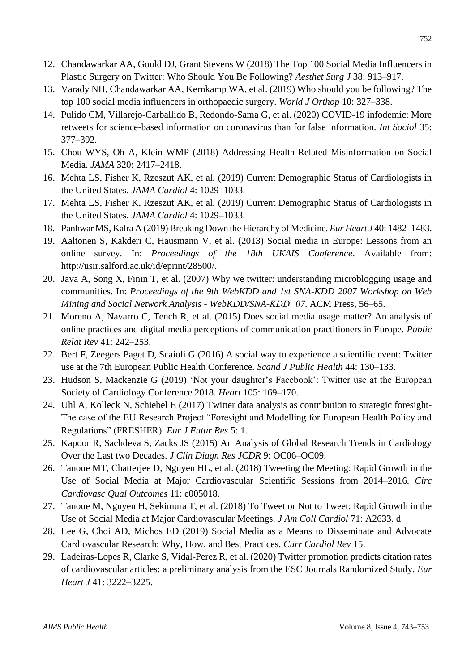- 12. Chandawarkar AA, Gould DJ, Grant Stevens W (2018) The Top 100 Social Media Influencers in Plastic Surgery on Twitter: Who Should You Be Following? *Aesthet Surg J* 38: 913–917.
- 13. Varady NH, Chandawarkar AA, Kernkamp WA, et al. (2019) Who should you be following? The top 100 social media influencers in orthopaedic surgery. *World J Orthop* 10: 327–338.
- 14. Pulido CM, Villarejo-Carballido B, Redondo-Sama G, et al. (2020) COVID-19 infodemic: More retweets for science-based information on coronavirus than for false information. *Int Sociol* 35: 377–392.
- 15. Chou WYS, Oh A, Klein WMP (2018) Addressing Health-Related Misinformation on Social Media. *JAMA* 320: 2417–2418.
- 16. Mehta LS, Fisher K, Rzeszut AK, et al. (2019) Current Demographic Status of Cardiologists in the United States. *JAMA Cardiol* 4: 1029–1033.
- 17. Mehta LS, Fisher K, Rzeszut AK, et al. (2019) Current Demographic Status of Cardiologists in the United States. *JAMA Cardiol* 4: 1029–1033.
- 18. Panhwar MS, Kalra A (2019) Breaking Down the Hierarchy of Medicine. *Eur Heart J* 40: 1482–1483.
- 19. Aaltonen S, Kakderi C, Hausmann V, et al. (2013) Social media in Europe: Lessons from an online survey. In: *Proceedings of the 18th UKAIS Conference*. Available from: http://usir.salford.ac.uk/id/eprint/28500/.
- 20. Java A, Song X, Finin T, et al. (2007) Why we twitter: understanding microblogging usage and communities. In: *Proceedings of the 9th WebKDD and 1st SNA-KDD 2007 Workshop on Web Mining and Social Network Analysis - WebKDD/SNA-KDD '07*. ACM Press, 56–65.
- 21. Moreno A, Navarro C, Tench R, et al. (2015) Does social media usage matter? An analysis of online practices and digital media perceptions of communication practitioners in Europe. *Public Relat Rev* 41: 242–253.
- 22. Bert F, Zeegers Paget D, Scaioli G (2016) A social way to experience a scientific event: Twitter use at the 7th European Public Health Conference. *Scand J Public Health* 44: 130–133.
- 23. Hudson S, Mackenzie G (2019) 'Not your daughter's Facebook': Twitter use at the European Society of Cardiology Conference 2018. *Heart* 105: 169–170.
- 24. Uhl A, Kolleck N, Schiebel E (2017) Twitter data analysis as contribution to strategic foresight-The case of the EU Research Project "Foresight and Modelling for European Health Policy and Regulations" (FRESHER). *Eur J Futur Res* 5: 1.
- 25. Kapoor R, Sachdeva S, Zacks JS (2015) An Analysis of Global Research Trends in Cardiology Over the Last two Decades. *J Clin Diagn Res JCDR* 9: OC06–OC09.
- 26. Tanoue MT, Chatterjee D, Nguyen HL, et al. (2018) Tweeting the Meeting: Rapid Growth in the Use of Social Media at Major Cardiovascular Scientific Sessions from 2014–2016. *Circ Cardiovasc Qual Outcomes* 11: e005018.
- 27. Tanoue M, Nguyen H, Sekimura T, et al. (2018) To Tweet or Not to Tweet: Rapid Growth in the Use of Social Media at Major Cardiovascular Meetings. *J Am Coll Cardiol* 71: A2633. d
- 28. Lee G, Choi AD, Michos ED (2019) Social Media as a Means to Disseminate and Advocate Cardiovascular Research: Why, How, and Best Practices. *Curr Cardiol Rev* 15.
- 29. Ladeiras-Lopes R, Clarke S, Vidal-Perez R, et al. (2020) Twitter promotion predicts citation rates of cardiovascular articles: a preliminary analysis from the ESC Journals Randomized Study. *Eur Heart J* 41: 3222–3225.